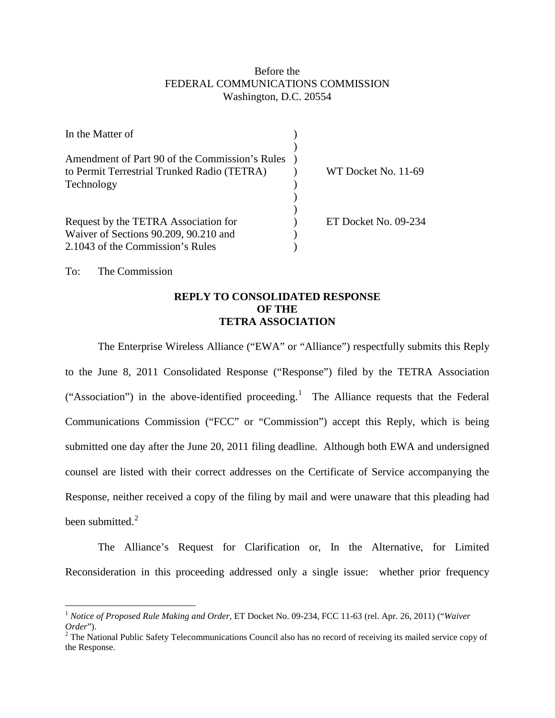## Before the FEDERAL COMMUNICATIONS COMMISSION Washington, D.C. 20554

| In the Matter of                               |                      |
|------------------------------------------------|----------------------|
| Amendment of Part 90 of the Commission's Rules |                      |
| to Permit Terrestrial Trunked Radio (TETRA)    | WT Docket No. 11-69  |
| Technology                                     |                      |
|                                                |                      |
|                                                |                      |
| Request by the TETRA Association for           | ET Docket No. 09-234 |
| Waiver of Sections 90.209, 90.210 and          |                      |
| 2.1043 of the Commission's Rules               |                      |

To: The Commission

## **REPLY TO CONSOLIDATED RESPONSE OF THE TETRA ASSOCIATION**

The Enterprise Wireless Alliance ("EWA" or "Alliance") respectfully submits this Reply to the June 8, 2011 Consolidated Response ("Response") filed by the TETRA Association ("Association") in the above-identified proceeding.<sup>[1](#page-0-0)</sup> The Alliance requests that the Federal Communications Commission ("FCC" or "Commission") accept this Reply, which is being submitted one day after the June 20, 2011 filing deadline. Although both EWA and undersigned counsel are listed with their correct addresses on the Certificate of Service accompanying the Response, neither received a copy of the filing by mail and were unaware that this pleading had been submitted. $2$ 

The Alliance's Request for Clarification or, In the Alternative, for Limited Reconsideration in this proceeding addressed only a single issue: whether prior frequency

<span id="page-0-0"></span> <sup>1</sup> *Notice of Proposed Rule Making and Order,* ET Docket No. 09-234, FCC 11-63 (rel. Apr. 26, 2011) ("*Waiver* 

<span id="page-0-1"></span>*Order*").<br><sup>2</sup> The National Public Safety Telecommunications Council also has no record of receiving its mailed service copy of the Response.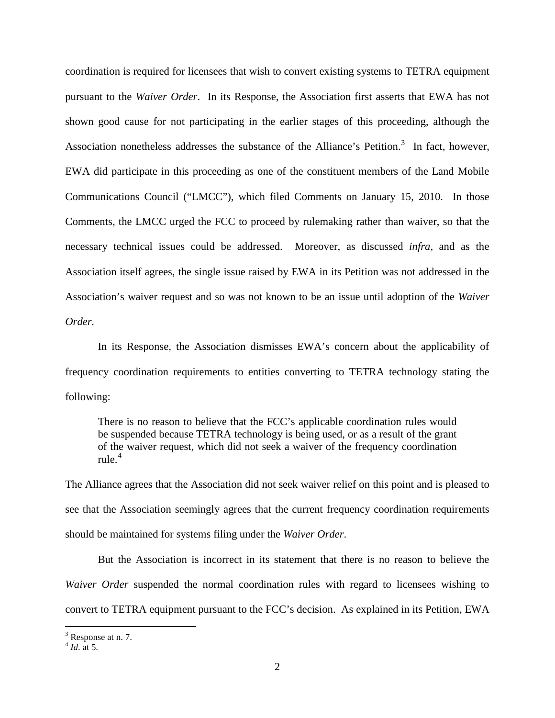coordination is required for licensees that wish to convert existing systems to TETRA equipment pursuant to the *Waiver Order*. In its Response, the Association first asserts that EWA has not shown good cause for not participating in the earlier stages of this proceeding, although the Association nonetheless addresses the substance of the Alliance's Petition.<sup>[3](#page-1-0)</sup> In fact, however, EWA did participate in this proceeding as one of the constituent members of the Land Mobile Communications Council ("LMCC"), which filed Comments on January 15, 2010. In those Comments, the LMCC urged the FCC to proceed by rulemaking rather than waiver, so that the necessary technical issues could be addressed. Moreover, as discussed *infra*, and as the Association itself agrees, the single issue raised by EWA in its Petition was not addressed in the Association's waiver request and so was not known to be an issue until adoption of the *Waiver Order.*

In its Response, the Association dismisses EWA's concern about the applicability of frequency coordination requirements to entities converting to TETRA technology stating the following:

There is no reason to believe that the FCC's applicable coordination rules would be suspended because TETRA technology is being used, or as a result of the grant of the waiver request, which did not seek a waiver of the frequency coordination rule. $4$ 

The Alliance agrees that the Association did not seek waiver relief on this point and is pleased to see that the Association seemingly agrees that the current frequency coordination requirements should be maintained for systems filing under the *Waiver Order*.

But the Association is incorrect in its statement that there is no reason to believe the *Waiver Order* suspended the normal coordination rules with regard to licensees wishing to convert to TETRA equipment pursuant to the FCC's decision. As explained in its Petition, EWA

<span id="page-1-0"></span> $3$  Response at n. 7.

<span id="page-1-1"></span><sup>4</sup> *Id*. at 5.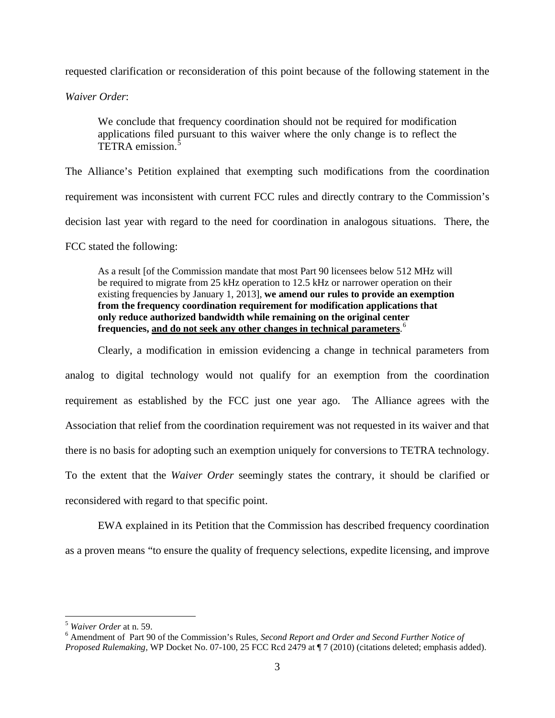requested clarification or reconsideration of this point because of the following statement in the

*Waiver Order*:

We conclude that frequency coordination should not be required for modification applications filed pursuant to this waiver where the only change is to reflect the TETRA emission.<sup>[5](#page-2-0)</sup>

The Alliance's Petition explained that exempting such modifications from the coordination requirement was inconsistent with current FCC rules and directly contrary to the Commission's decision last year with regard to the need for coordination in analogous situations. There, the

FCC stated the following:

As a result [of the Commission mandate that most Part 90 licensees below 512 MHz will be required to migrate from 25 kHz operation to 12.5 kHz or narrower operation on their existing frequencies by January 1, 2013], **we amend our rules to provide an exemption from the frequency coordination requirement for modification applications that only reduce authorized bandwidth while remaining on the original center frequencies, and do not seek any other changes in technical parameters**. [6](#page-2-1)

Clearly, a modification in emission evidencing a change in technical parameters from analog to digital technology would not qualify for an exemption from the coordination requirement as established by the FCC just one year ago. The Alliance agrees with the Association that relief from the coordination requirement was not requested in its waiver and that there is no basis for adopting such an exemption uniquely for conversions to TETRA technology. To the extent that the *Waiver Order* seemingly states the contrary, it should be clarified or reconsidered with regard to that specific point.

EWA explained in its Petition that the Commission has described frequency coordination as a proven means "to ensure the quality of frequency selections, expedite licensing, and improve

<span id="page-2-1"></span><span id="page-2-0"></span><sup>&</sup>lt;sup>5</sup> *Waiver Order* at n. 59.<br><sup>6</sup> Amendment of Part 90 of the Commission's Rules, *Second Report and Order and Second Further Notice of Proposed Rulemaking,* WP Docket No. 07-100, 25 FCC Rcd 2479 at ¶ 7 (2010) (citations deleted; emphasis added).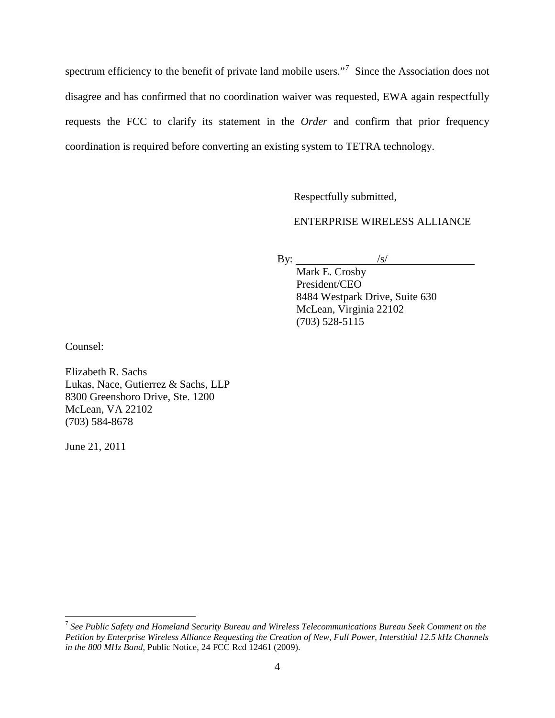spectrum efficiency to the benefit of private land mobile users."<sup>[7](#page-3-0)</sup> Since the Association does not disagree and has confirmed that no coordination waiver was requested, EWA again respectfully requests the FCC to clarify its statement in the *Order* and confirm that prior frequency coordination is required before converting an existing system to TETRA technology.

Respectfully submitted,

ENTERPRISE WIRELESS ALLIANCE

 $\sqrt{s}$ /

By:

Mark E. Crosby President/CEO 8484 Westpark Drive, Suite 630 McLean, Virginia 22102 (703) 528-5115

Counsel:

Elizabeth R. Sachs Lukas, Nace, Gutierrez & Sachs, LLP 8300 Greensboro Drive, Ste. 1200 McLean, VA 22102 (703) 584-8678

June 21, 2011

<span id="page-3-0"></span> <sup>7</sup> *See Public Safety and Homeland Security Bureau and Wireless Telecommunications Bureau Seek Comment on the Petition by Enterprise Wireless Alliance Requesting the Creation of New, Full Power, Interstitial 12.5 kHz Channels in the 800 MHz Band,* Public Notice, 24 FCC Rcd 12461 (2009).